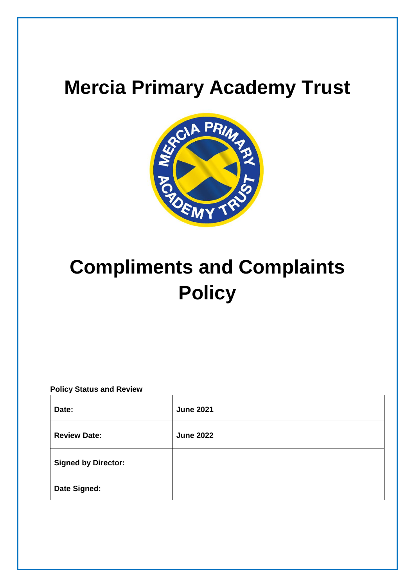# **Mercia Primary Academy Trust**



# **Compliments and Complaints Policy**

# **Policy Status and Review**

| Date:                      | <b>June 2021</b> |
|----------------------------|------------------|
| <b>Review Date:</b>        | <b>June 2022</b> |
| <b>Signed by Director:</b> |                  |
| <b>Date Signed:</b>        |                  |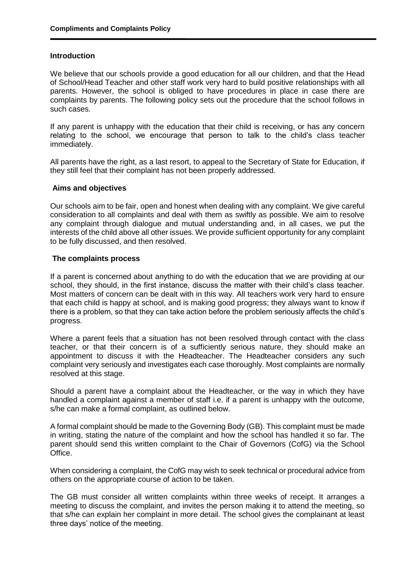# **Introduction**

We believe that our schools provide a good education for all our children, and that the Head of School/Head Teacher and other staff work very hard to build positive relationships with all parents. However, the school is obliged to have procedures in place in case there are complaints by parents. The following policy sets out the procedure that the school follows in such cases.

If any parent is unhappy with the education that their child is receiving, or has any concern relating to the school, we encourage that person to talk to the child's class teacher immediately.

All parents have the right, as a last resort, to appeal to the Secretary of State for Education, if they still feel that their complaint has not been properly addressed.

### **Aims and objectives**

Our schools aim to be fair, open and honest when dealing with any complaint. We give careful consideration to all complaints and deal with them as swiftly as possible. We aim to resolve any complaint through dialogue and mutual understanding and, in all cases, we put the interests of the child above all other issues. We provide sufficient opportunity for any complaint to be fully discussed, and then resolved.

# **The complaints process**

If a parent is concerned about anything to do with the education that we are providing at our school, they should, in the first instance, discuss the matter with their child's class teacher. Most matters of concern can be dealt with in this way. All teachers work very hard to ensure that each child is happy at school, and is making good progress; they always want to know if there is a problem, so that they can take action before the problem seriously affects the child's progress.

Where a parent feels that a situation has not been resolved through contact with the class teacher, or that their concern is of a sufficiently serious nature, they should make an appointment to discuss it with the Headteacher. The Headteacher considers any such complaint very seriously and investigates each case thoroughly. Most complaints are normally resolved at this stage.

Should a parent have a complaint about the Headteacher, or the way in which they have handled a complaint against a member of staff i.e. if a parent is unhappy with the outcome, s/he can make a formal complaint, as outlined below.

A formal complaint should be made to the Governing Body (GB). This complaint must be made in writing, stating the nature of the complaint and how the school has handled it so far. The parent should send this written complaint to the Chair of Governors (CofG) via the School Office.

When considering a complaint, the CofG may wish to seek technical or procedural advice from others on the appropriate course of action to be taken.

The GB must consider all written complaints within three weeks of receipt. It arranges a meeting to discuss the complaint, and invites the person making it to attend the meeting, so that s/he can explain her complaint in more detail. The school gives the complainant at least three days' notice of the meeting.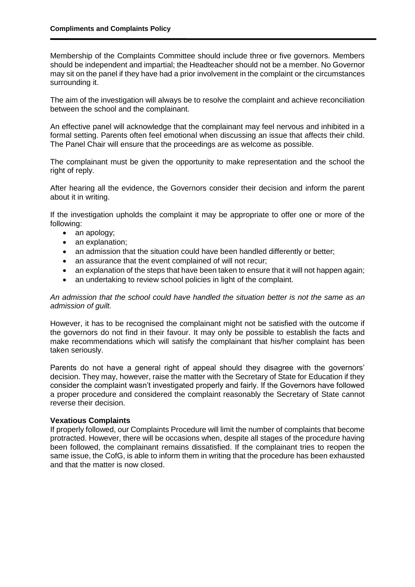Membership of the Complaints Committee should include three or five governors. Members should be independent and impartial; the Headteacher should not be a member. No Governor may sit on the panel if they have had a prior involvement in the complaint or the circumstances surrounding it.

The aim of the investigation will always be to resolve the complaint and achieve reconciliation between the school and the complainant.

An effective panel will acknowledge that the complainant may feel nervous and inhibited in a formal setting. Parents often feel emotional when discussing an issue that affects their child. The Panel Chair will ensure that the proceedings are as welcome as possible.

The complainant must be given the opportunity to make representation and the school the right of reply.

After hearing all the evidence, the Governors consider their decision and inform the parent about it in writing.

If the investigation upholds the complaint it may be appropriate to offer one or more of the following:

- an apology;
- an explanation;
- an admission that the situation could have been handled differently or better:
- an assurance that the event complained of will not recur;
- an explanation of the steps that have been taken to ensure that it will not happen again;
- an undertaking to review school policies in light of the complaint.

# *An admission that the school could have handled the situation better is not the same as an admission of guilt.*

However, it has to be recognised the complainant might not be satisfied with the outcome if the governors do not find in their favour. It may only be possible to establish the facts and make recommendations which will satisfy the complainant that his/her complaint has been taken seriously.

Parents do not have a general right of appeal should they disagree with the governors' decision. They may, however, raise the matter with the Secretary of State for Education if they consider the complaint wasn't investigated properly and fairly. If the Governors have followed a proper procedure and considered the complaint reasonably the Secretary of State cannot reverse their decision.

### **Vexatious Complaints**

If properly followed, our Complaints Procedure will limit the number of complaints that become protracted. However, there will be occasions when, despite all stages of the procedure having been followed, the complainant remains dissatisfied. If the complainant tries to reopen the same issue, the CofG, is able to inform them in writing that the procedure has been exhausted and that the matter is now closed.